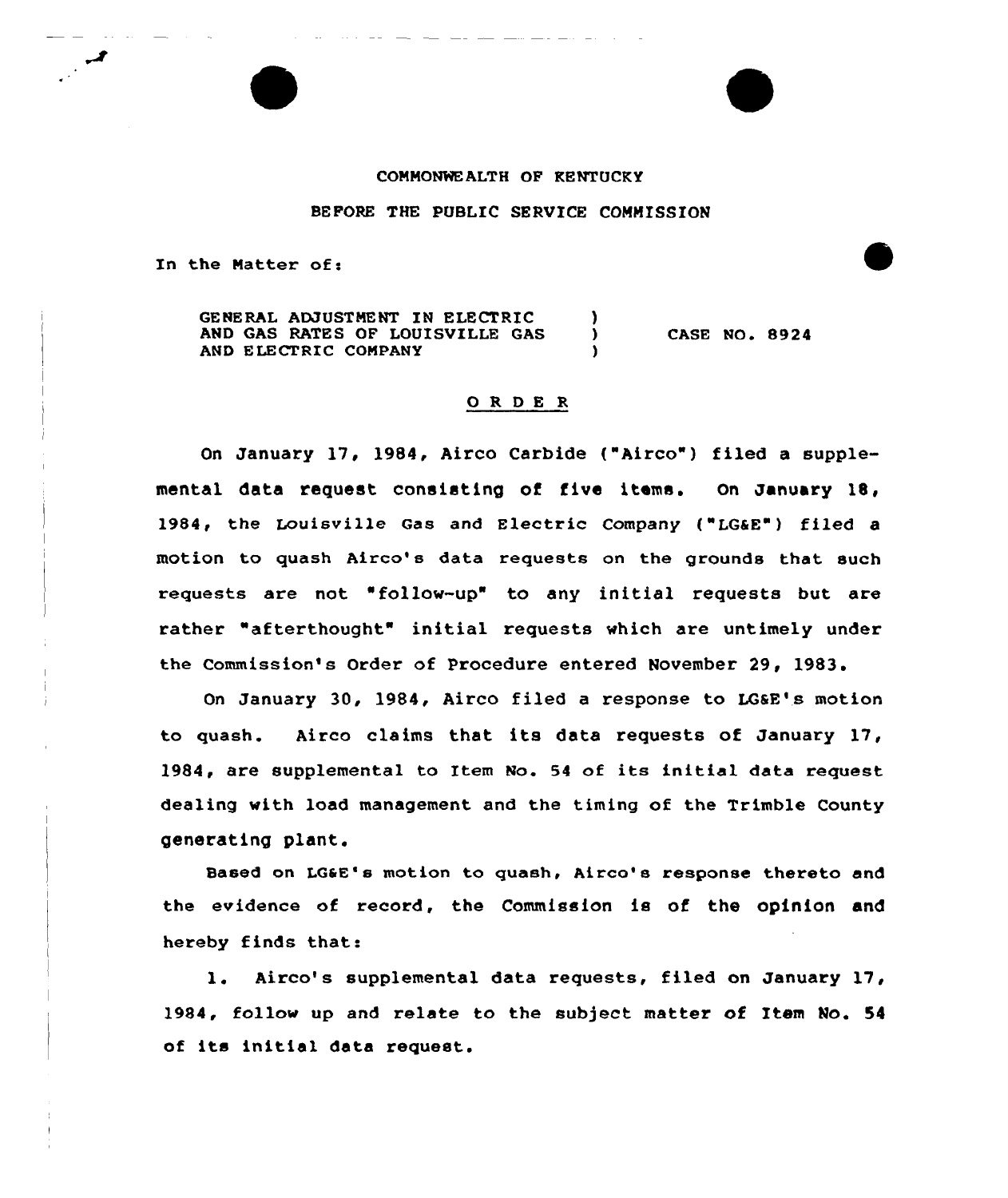## COMMONWEALTH OF KENTUCKY

## BEFORE THE PUBLIC SERVICE COMMISSION

In the Natter of:

GENERAL ADJUSTMENT IN ELECTRIC (3)<br>AND GAS RATES OF LOUISVILLE GAS AND GAS RATES OF LOUISVILLE GAS AND ELECTRIC COMPANY CASE NO. 8924

## ORDER

On January 17, 1984, Airco Carbide ("Airco") filed a supplemental data request consisting of five items. On January 1B, 1984, the Louisville Gas and Electric Company ("LG&E") filed a motion to quash Airco's data requests on the grounds that such requests are not "follow-up" to any initial requests but are rather "afterthought" initial requests which are untimely under the Commission's Order of Procedure entered November 29, 1983.

On January 30, 1984, Airco filed a response to LG&E's motion to quash. Airco claims that its data requests of January 17, 1984, are supplemental to Item No. <sup>54</sup> of its initial data request dealing with load management and the timing of the Trimble County generating plant.

Based on LG&E's motion to quash, Airco's response thereto and the evidence of record, the Commission is of the opinion and hereby finds that:

1. Airco's supplemental data requests, filed on January 17, 1984, follow up and relate to the subject matter of Item Mo. 54 of its initial data request.